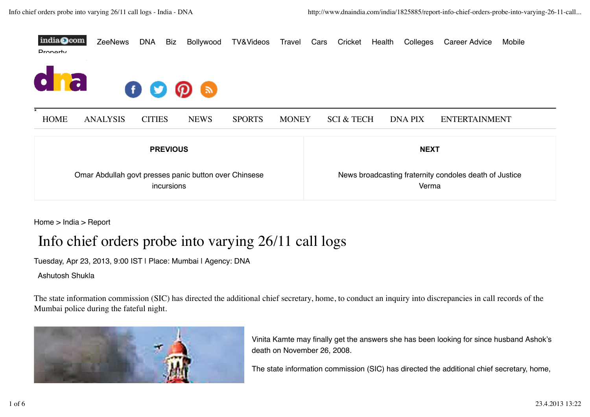

Home > India > Report

## Info chief orders probe into varying 26/11 call logs

Tuesday, Apr 23, 2013, 9:00 IST | Place: Mumbai | Agency: DNA

Ashutosh Shukla

The state information commission (SIC) has directed the additional chief secretary, home, to conduct an inquiry into discrepancies in call records of the Mumbai police during the fateful night.



Vinita Kamte may finally get the answers she has been looking for since husband Ashok's death on November 26, 2008.

The state information commission (SIC) has directed the additional chief secretary, home,